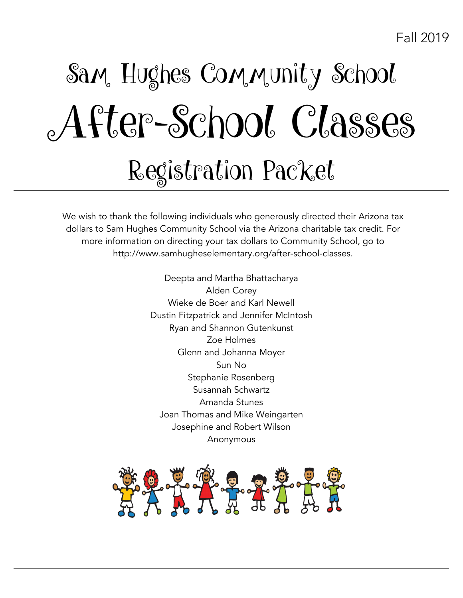# Sam, Hughes Community School After-School Classes Registration Packet

We wish to thank the following individuals who generously directed their Arizona tax dollars to Sam Hughes Community School via the Arizona charitable tax credit. For more information on directing your tax dollars to Community School, go to http://www.samhugheselementary.org/after-school-classes.

> Deepta and Martha Bhattacharya Alden Corey Wieke de Boer and Karl Newell Dustin Fitzpatrick and Jennifer McIntosh Ryan and Shannon Gutenkunst Zoe Holmes Glenn and Johanna Moyer Sun No Stephanie Rosenberg Susannah Schwartz Amanda Stunes Joan Thomas and Mike Weingarten Josephine and Robert Wilson Anonymous

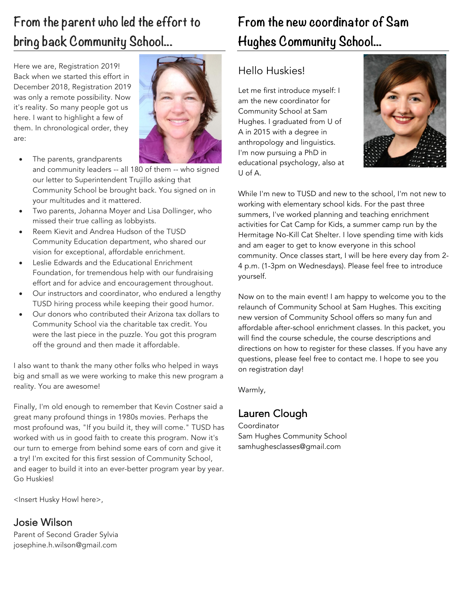# **From the parent who led the effort to bring back Community School...**

Here we are, Registration 2019! Back when we started this effort in December 2018, Registration 2019 was only a remote possibility. Now it's reality. So many people got us here. I want to highlight a few of them. In chronological order, they are:



- The parents, grandparents and community leaders -- all 180 of them -- who signed our letter to Superintendent Trujillo asking that Community School be brought back. You signed on in your multitudes and it mattered.
- Two parents, Johanna Moyer and Lisa Dollinger, who missed their true calling as lobbyists.
- Reem Kievit and Andrea Hudson of the TUSD Community Education department, who shared our vision for exceptional, affordable enrichment.
- Leslie Edwards and the Educational Enrichment Foundation, for tremendous help with our fundraising effort and for advice and encouragement throughout.
- Our instructors and coordinator, who endured a lengthy TUSD hiring process while keeping their good humor.
- Our donors who contributed their Arizona tax dollars to Community School via the charitable tax credit. You were the last piece in the puzzle. You got this program off the ground and then made it affordable.

I also want to thank the many other folks who helped in ways big and small as we were working to make this new program a reality. You are awesome!

Finally, I'm old enough to remember that Kevin Costner said a great many profound things in 1980s movies. Perhaps the most profound was, "If you build it, they will come." TUSD has worked with us in good faith to create this program. Now it's our turn to emerge from behind some ears of corn and give it a try! I'm excited for this first session of Community School, and eager to build it into an ever-better program year by year. Go Huskies!

<Insert Husky Howl here>,

#### Josie Wilson

Parent of Second Grader Sylvia josephine.h.wilson@gmail.com

# **From the new coordinator of Sam Hughes Community School...**

#### Hello Huskies!

Let me first introduce myself: I am the new coordinator for Community School at Sam Hughes. I graduated from U of A in 2015 with a degree in anthropology and linguistics. I'm now pursuing a PhD in educational psychology, also at U of A.



While I'm new to TUSD and new to the school, I'm not new to working with elementary school kids. For the past three summers, I've worked planning and teaching enrichment activities for Cat Camp for Kids, a summer camp run by the Hermitage No-Kill Cat Shelter. I love spending time with kids and am eager to get to know everyone in this school community. Once classes start, I will be here every day from 2- 4 p.m. (1-3pm on Wednesdays). Please feel free to introduce yourself.

Now on to the main event! I am happy to welcome you to the relaunch of Community School at Sam Hughes. This exciting new version of Community School offers so many fun and affordable after-school enrichment classes. In this packet, you will find the course schedule, the course descriptions and directions on how to register for these classes. If you have any questions, please feel free to contact me. I hope to see you on registration day!

Warmly,

#### Lauren Clough

Coordinator Sam Hughes Community School samhughesclasses@gmail.com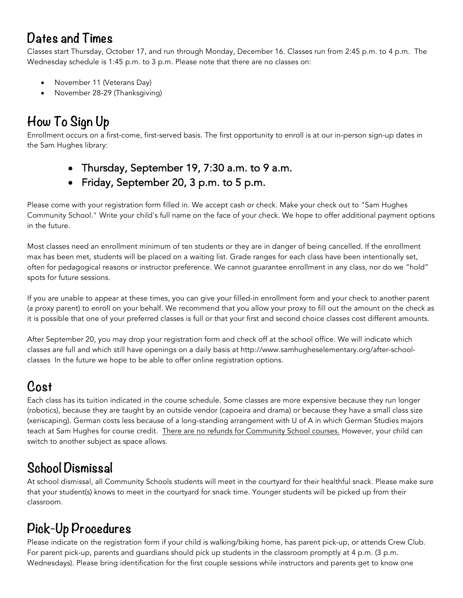### **Dates and Times**

Classes start Thursday, October 17, and run through Monday, December 16. Classes run from 2:45 p.m. to 4 p.m. The Wednesday schedule is 1:45 p.m. to 3 p.m. Please note that there are no classes on:

- November 11 (Veterans Day)
- November 28-29 (Thanksgiving)

# **How To Sign Up**

Enrollment occurs on a first-come, first-served basis. The first opportunity to enroll is at our in-person sign-up dates in the Sam Hughes library:

- Thursday, September 19, 7:30 a.m. to 9 a.m.
- Friday, September 20, 3 p.m. to 5 p.m.

Please come with your registration form filled in. We accept cash or check. Make your check out to "Sam Hughes Community School." Write your child's full name on the face of your check. We hope to offer additional payment options in the future.

Most classes need an enrollment minimum of ten students or they are in danger of being cancelled. If the enrollment max has been met, students will be placed on a waiting list. Grade ranges for each class have been intentionally set, often for pedagogical reasons or instructor preference. We cannot guarantee enrollment in any class, nor do we "hold" spots for future sessions.

If you are unable to appear at these times, you can give your filled-in enrollment form and your check to another parent (a proxy parent) to enroll on your behalf. We recommend that you allow your proxy to fill out the amount on the check as it is possible that one of your preferred classes is full or that your first and second choice classes cost different amounts.

After September 20, you may drop your registration form and check off at the school office. We will indicate which classes are full and which still have openings on a daily basis at http://www.samhugheselementary.org/after-schoolclasses In the future we hope to be able to offer online registration options.

# **Cost**

Each class has its tuition indicated in the course schedule. Some classes are more expensive because they run longer (robotics), because they are taught by an outside vendor (capoeira and drama) or because they have a small class size (xeriscaping). German costs less because of a long-standing arrangement with U of A in which German Studies majors teach at Sam Hughes for course credit. There are no refunds for Community School courses. However, your child can switch to another subject as space allows.

### **School Dismissal**

At school dismissal, all Community Schools students will meet in the courtyard for their healthful snack. Please make sure that your student(s) knows to meet in the courtyard for snack time. Younger students will be picked up from their classroom.

### **Pick-Up Procedures**

Please indicate on the registration form if your child is walking/biking home, has parent pick-up, or attends Crew Club. For parent pick-up, parents and guardians should pick up students in the classroom promptly at 4 p.m. (3 p.m. Wednesdays). Please bring identification for the first couple sessions while instructors and parents get to know one